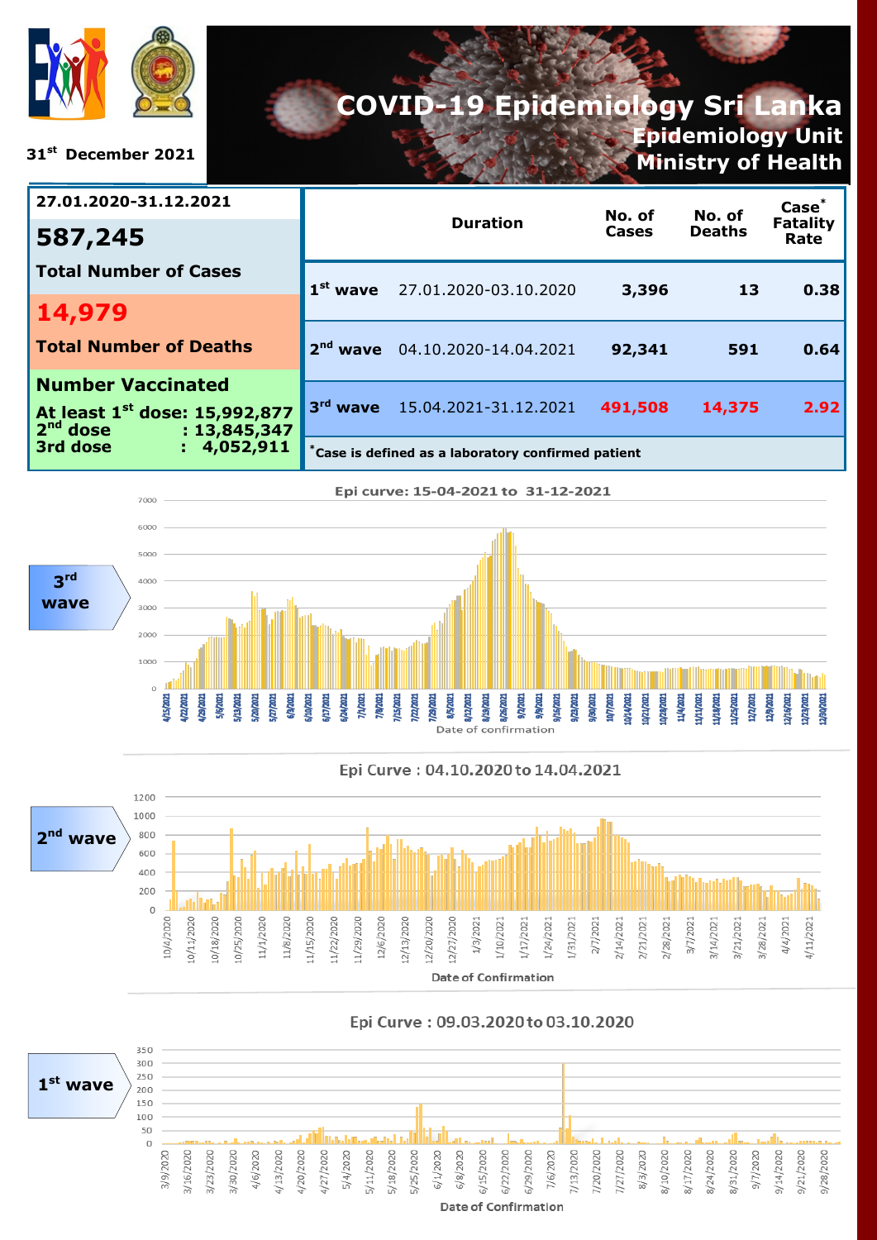

**31st December 2021**

# **COVID-19 Epidemiology Sri Lanka Epidemiology Unit**

**Ministry of Health**

| 27.01.2020-31.12.2021                                                   |                                                    | <b>Duration</b>                     | No. of<br><b>Cases</b> | No. of<br><b>Deaths</b> | Case <sup>*</sup><br><b>Fatality</b><br>Rate |
|-------------------------------------------------------------------------|----------------------------------------------------|-------------------------------------|------------------------|-------------------------|----------------------------------------------|
| 587,245                                                                 |                                                    |                                     |                        |                         |                                              |
| <b>Total Number of Cases</b>                                            |                                                    | $1^{st}$ wave 27.01.2020-03.10.2020 | 3,396                  | 13                      | 0.38                                         |
| 14,979                                                                  |                                                    |                                     |                        |                         |                                              |
| <b>Total Number of Deaths</b>                                           | 2 <sup>nd</sup>                                    | wave 04.10.2020-14.04.2021          | 92,341                 | 591                     | 0.64                                         |
| <b>Number Vaccinated</b>                                                |                                                    |                                     |                        |                         |                                              |
| At least 1 <sup>st</sup> dose: 15,992,877<br>$2nd$ dose<br>: 13,845,347 |                                                    | 3rd wave 15.04.2021-31.12.2021      | 491,508                | 14,375                  | 2.92                                         |
| 3rd dose<br>: 4,052,911                                                 | *Case is defined as a laboratory confirmed patient |                                     |                        |                         |                                              |





#### Epi Curve: 09.03.2020 to 03.10.2020